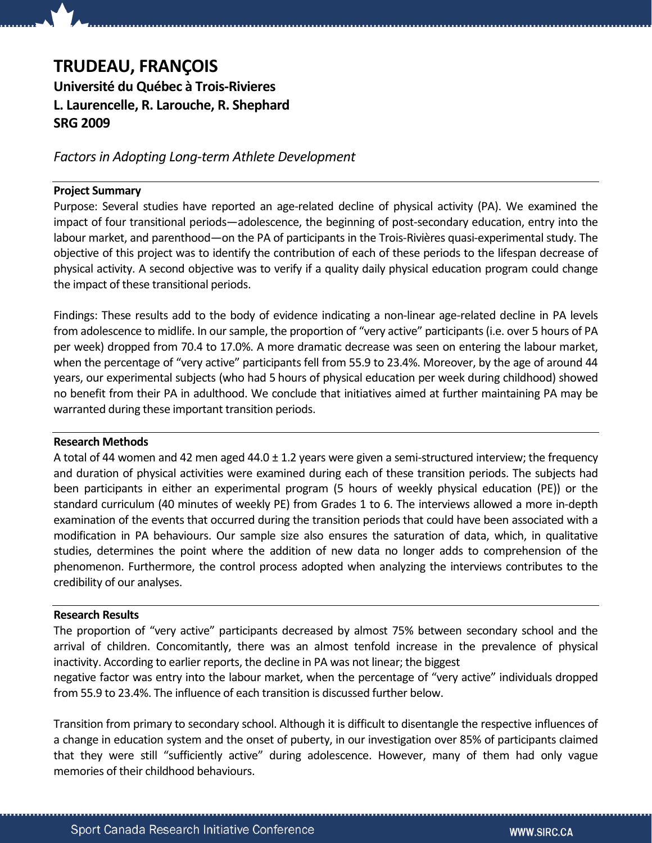# TRUDEAU, FRANÇOIS

Université du Québec à Trois-Rivieres L. Laurencelle, R. Larouche, R. Shephard SRG 2009

## Factors in Adopting Long-term Athlete Development

### Project Summary

Purpose: Several studies have reported an age-related decline of physical activity (PA). We examined the impact of four transitional periods—adolescence, the beginning of post-secondary education, entry into the labour market, and parenthood—on the PA of participants in the Trois-Rivières quasi-experimental study. The objective of this project was to identify the contribution of each of these periods to the lifespan decrease of physical activity. A second objective was to verify if a quality daily physical education program could change the impact of these transitional periods.

Findings: These results add to the body of evidence indicating a non-linear age-related decline in PA levels from adolescence to midlife. In our sample, the proportion of "very active" participants (i.e. over 5 hours of PA per week) dropped from 70.4 to 17.0%. A more dramatic decrease was seen on entering the labour market, when the percentage of "very active" participants fell from 55.9 to 23.4%. Moreover, by the age of around 44 years, our experimental subjects (who had 5 hours of physical education per week during childhood) showed no benefit from their PA in adulthood. We conclude that initiatives aimed at further maintaining PA may be warranted during these important transition periods.

### Research Methods

A total of 44 women and 42 men aged 44.0  $\pm$  1.2 years were given a semi-structured interview; the frequency and duration of physical activities were examined during each of these transition periods. The subjects had been participants in either an experimental program (5 hours of weekly physical education (PE)) or the standard curriculum (40 minutes of weekly PE) from Grades 1 to 6. The interviews allowed a more in-depth examination of the events that occurred during the transition periods that could have been associated with a modification in PA behaviours. Our sample size also ensures the saturation of data, which, in qualitative studies, determines the point where the addition of new data no longer adds to comprehension of the phenomenon. Furthermore, the control process adopted when analyzing the interviews contributes to the credibility of our analyses.

### Research Results

The proportion of "very active" participants decreased by almost 75% between secondary school and the arrival of children. Concomitantly, there was an almost tenfold increase in the prevalence of physical inactivity. According to earlier reports, the decline in PA was not linear; the biggest

negative factor was entry into the labour market, when the percentage of "very active" individuals dropped from 55.9 to 23.4%. The influence of each transition is discussed further below.

Transition from primary to secondary school. Although it is difficult to disentangle the respective influences of a change in education system and the onset of puberty, in our investigation over 85% of participants claimed that they were still "sufficiently active" during adolescence. However, many of them had only vague memories of their childhood behaviours.